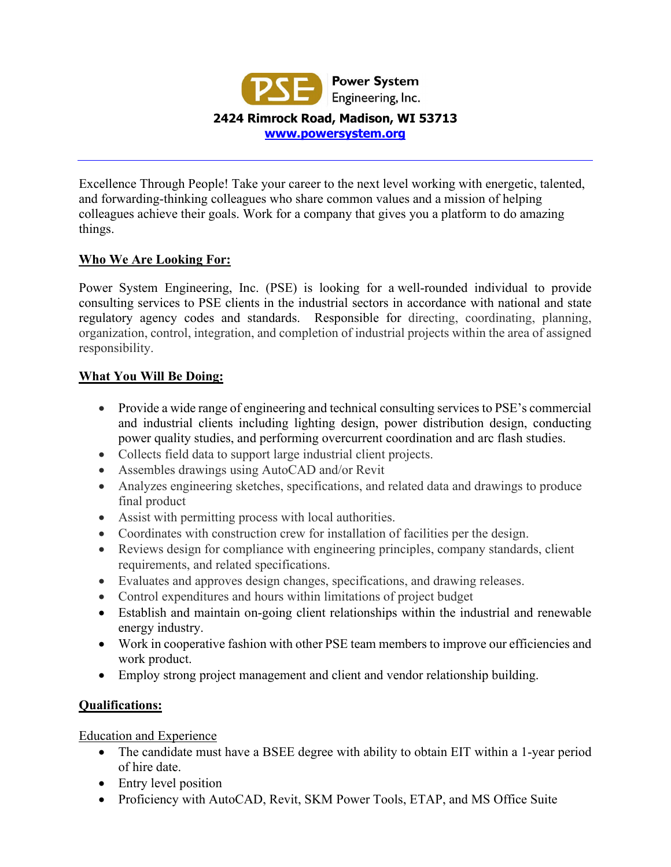

Excellence Through People! Take your career to the next level working with energetic, talented, and forwarding-thinking colleagues who share common values and a mission of helping colleagues achieve their goals. Work for a company that gives you a platform to do amazing things.

## **Who We Are Looking For:**

Power System Engineering, Inc. (PSE) is looking for a well-rounded individual to provide consulting services to PSE clients in the industrial sectors in accordance with national and state regulatory agency codes and standards. Responsible for directing, coordinating, planning, organization, control, integration, and completion of industrial projects within the area of assigned responsibility.

### **What You Will Be Doing:**

- Provide a wide range of engineering and technical consulting services to PSE's commercial and industrial clients including lighting design, power distribution design, conducting power quality studies, and performing overcurrent coordination and arc flash studies.
- Collects field data to support large industrial client projects.
- Assembles drawings using AutoCAD and/or Revit
- Analyzes engineering sketches, specifications, and related data and drawings to produce final product
- Assist with permitting process with local authorities.
- Coordinates with construction crew for installation of facilities per the design.
- Reviews design for compliance with engineering principles, company standards, client requirements, and related specifications.
- Evaluates and approves design changes, specifications, and drawing releases.
- Control expenditures and hours within limitations of project budget
- Establish and maintain on-going client relationships within the industrial and renewable energy industry.
- Work in cooperative fashion with other PSE team members to improve our efficiencies and work product.
- Employ strong project management and client and vendor relationship building.

# **Qualifications:**

Education and Experience

- The candidate must have a BSEE degree with ability to obtain EIT within a 1-year period of hire date.
- Entry level position
- Proficiency with AutoCAD, Revit, SKM Power Tools, ETAP, and MS Office Suite